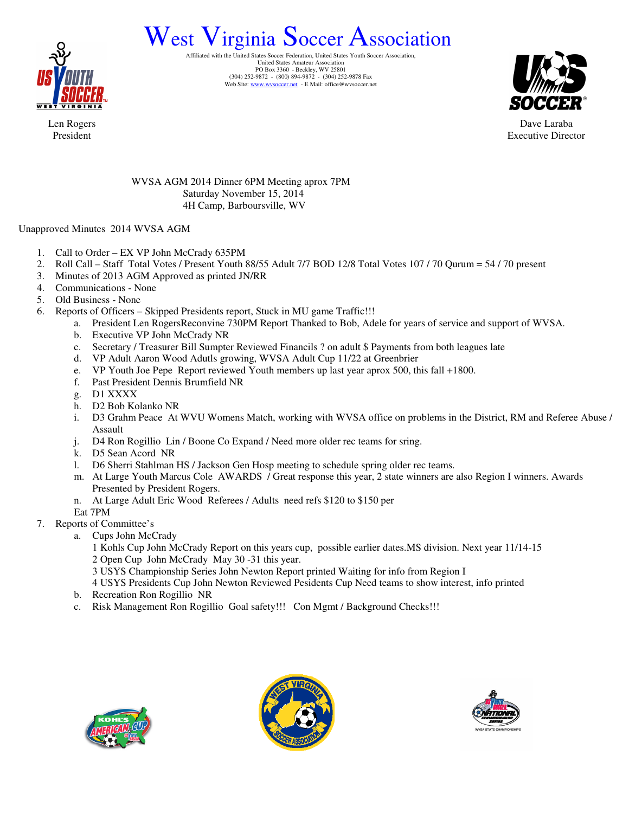

# West Virginia Soccer Association

Affiliated with the United States Soccer Federation, United States Youth Soccer Association, United States Amateur Association PO Box 3360 - Beckley, WV 25801 (304) 252-9872 - (800) 894-9872 - (304) 252-9878 Fax Web Site: www.wvsoccer.net - E Mail: office@wvsoccer.net



Dave Laraba Executive Director

Len Rogers President

> WVSA AGM 2014 Dinner 6PM Meeting aprox 7PM Saturday November 15, 2014 4H Camp, Barboursville, WV

# Unapproved Minutes 2014 WVSA AGM

- 1. Call to Order EX VP John McCrady 635PM
- 2. Roll Call Staff Total Votes / Present Youth 88/55 Adult 7/7 BOD 12/8 Total Votes 107 / 70 Qurum = 54 / 70 present
- 3. Minutes of 2013 AGM Approved as printed JN/RR
- 4. Communications None
- 5. Old Business None
- 6. Reports of Officers Skipped Presidents report, Stuck in MU game Traffic!!!
	- a. President Len RogersReconvine 730PM Report Thanked to Bob, Adele for years of service and support of WVSA.
	- b. Executive VP John McCrady NR
	- c. Secretary / Treasurer Bill Sumpter Reviewed Financils ? on adult \$ Payments from both leagues late
	- d. VP Adult Aaron Wood Adutls growing, WVSA Adult Cup 11/22 at Greenbrier
	- e. VP Youth Joe Pepe Report reviewed Youth members up last year aprox 500, this fall +1800.
	- f. Past President Dennis Brumfield NR
	- g. D1 XXXX
	- h. D2 Bob Kolanko NR
	- i. D3 Grahm Peace At WVU Womens Match, working with WVSA office on problems in the District, RM and Referee Abuse / Assault
	- j. D4 Ron Rogillio Lin / Boone Co Expand / Need more older rec teams for sring.
	- k. D5 Sean Acord NR
	- l. D6 Sherri Stahlman HS / Jackson Gen Hosp meeting to schedule spring older rec teams.
	- m. At Large Youth Marcus Cole AWARDS / Great response this year, 2 state winners are also Region I winners. Awards Presented by President Rogers.
	- n. At Large Adult Eric Wood Referees / Adults need refs \$120 to \$150 per
	- Eat 7PM
- 7. Reports of Committee's
	- a. Cups John McCrady
		- 1 Kohls Cup John McCrady Report on this years cup, possible earlier dates.MS division. Next year 11/14-15 2 Open Cup John McCrady May 30 -31 this year.
		- 3 USYS Championship Series John Newton Report printed Waiting for info from Region I
		- 4 USYS Presidents Cup John Newton Reviewed Pesidents Cup Need teams to show interest, info printed
		- b. Recreation Ron Rogillio NR
		- c. Risk Management Ron Rogillio Goal safety!!! Con Mgmt / Background Checks!!!





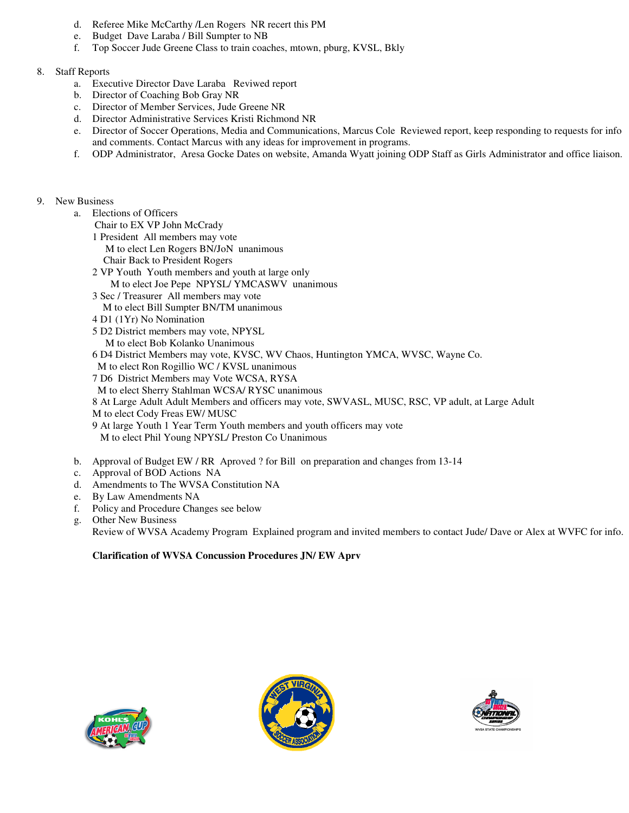- d. Referee Mike McCarthy /Len Rogers NR recert this PM
- e. Budget Dave Laraba / Bill Sumpter to NB
- f. Top Soccer Jude Greene Class to train coaches, mtown, pburg, KVSL, Bkly

## 8. Staff Reports

- a. Executive Director Dave Laraba Reviwed report
- b. Director of Coaching Bob Gray NR
- c. Director of Member Services, Jude Greene NR
- d. Director Administrative Services Kristi Richmond NR
- e. Director of Soccer Operations, Media and Communications, Marcus Cole Reviewed report, keep responding to requests for info and comments. Contact Marcus with any ideas for improvement in programs.
- f. ODP Administrator, Aresa Gocke Dates on website, Amanda Wyatt joining ODP Staff as Girls Administrator and office liaison.

#### 9. New Business

- a. Elections of Officers
	- Chair to EX VP John McCrady
	- 1 President All members may vote M to elect Len Rogers BN/JoN unanimous
		- Chair Back to President Rogers
	- 2 VP Youth Youth members and youth at large only
	- M to elect Joe Pepe NPYSL/ YMCASWV unanimous
	- 3 Sec / Treasurer All members may vote
	- M to elect Bill Sumpter BN/TM unanimous
	- 4 D1 (1Yr) No Nomination
	- 5 D2 District members may vote, NPYSL M to elect Bob Kolanko Unanimous
	- 6 D4 District Members may vote, KVSC, WV Chaos, Huntington YMCA, WVSC, Wayne Co.
	- M to elect Ron Rogillio WC / KVSL unanimous
	- 7 D6 District Members may Vote WCSA, RYSA
	- M to elect Sherry Stahlman WCSA/ RYSC unanimous
	- 8 At Large Adult Adult Members and officers may vote, SWVASL, MUSC, RSC, VP adult, at Large Adult M to elect Cody Freas EW/ MUSC
	- 9 At large Youth 1 Year Term Youth members and youth officers may vote
		- M to elect Phil Young NPYSL/ Preston Co Unanimous
- b. Approval of Budget EW / RR Aproved ? for Bill on preparation and changes from 13-14
- c. Approval of BOD Actions NA
- d. Amendments to The WVSA Constitution NA
- e. By Law Amendments NA
- f. Policy and Procedure Changes see below
- g. Other New Business Review of WVSA Academy Program Explained program and invited members to contact Jude/ Dave or Alex at WVFC for info.

# **Clarification of WVSA Concussion Procedures JN/ EW Aprv**





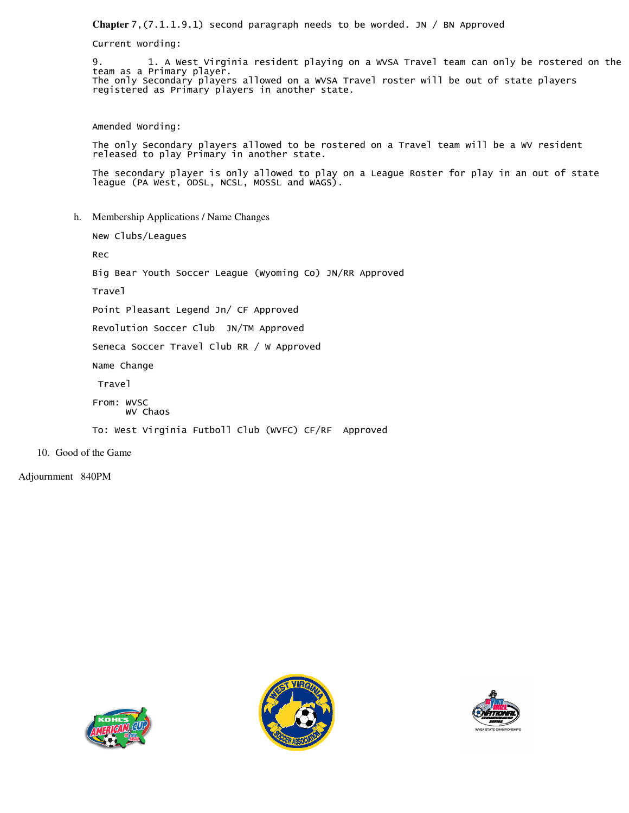**Chapter** 7,(7.1.1.9.1) second paragraph needs to be worded. JN / BN Approved

Current wording:

9. 1. A West Virginia resident playing on a WVSA Travel team can only be rostered on the team as a Primary player. The only Secondary players allowed on a WVSA Travel roster will be out of state players registered as Primary players in another state.

Amended Wording:

The only Secondary players allowed to be rostered on a Travel team will be a WV resident released to play Primary in another state.

The secondary player is only allowed to play on a League Roster for play in an out of state league (PA West, ODSL, NCSL, MOSSL and WAGS).

h. Membership Applications / Name Changes

New Clubs/Leagues

Rec

Big Bear Youth Soccer League (Wyoming Co) JN/RR Approved

Travel

Point Pleasant Legend Jn/ CF Approved

Revolution Soccer Club JN/TM Approved

Seneca Soccer Travel Club RR / W Approved

Name Change

Travel

From: WVSC

WV Chaos

To: West Virginia Futboll Club (WVFC) CF/RF Approved

10. Good of the Game

Adjournment 840PM





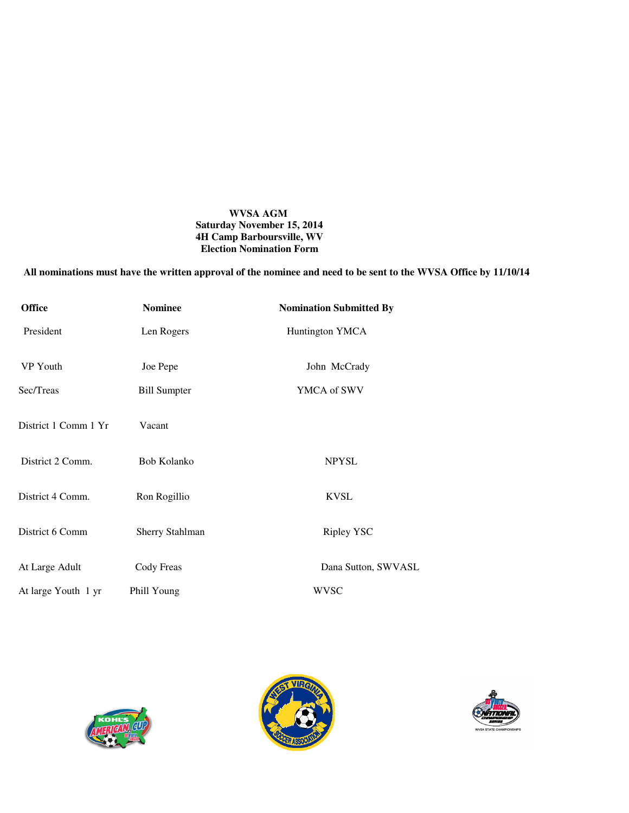## **WVSA AGM Saturday November 15, 2014 4H Camp Barboursville, WV Election Nomination Form**

# **All nominations must have the written approval of the nominee and need to be sent to the WVSA Office by 11/10/14**

| <b>Office</b>        | <b>Nominee</b>         | <b>Nomination Submitted By</b> |
|----------------------|------------------------|--------------------------------|
| President            | Len Rogers             | Huntington YMCA                |
| VP Youth             | Joe Pepe               | John McCrady                   |
| Sec/Treas            | <b>Bill Sumpter</b>    | YMCA of SWV                    |
| District 1 Comm 1 Yr | Vacant                 |                                |
| District 2 Comm.     | Bob Kolanko            | <b>NPYSL</b>                   |
| District 4 Comm.     | Ron Rogillio           | <b>KVSL</b>                    |
| District 6 Comm      | <b>Sherry Stahlman</b> | Ripley YSC                     |
| At Large Adult       | Cody Freas             | Dana Sutton, SWVASL            |
| At large Youth 1 yr  | Phill Young            | <b>WVSC</b>                    |